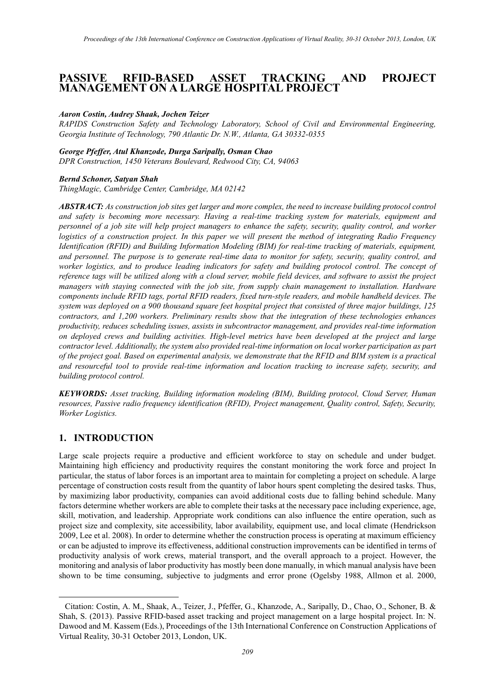### **PASSIVE RFID-BASED ASSET TRACKING AND PROJECT MANAGEMENT ON A LARGE HOSPITAL PROJECT[1](#page-0-0)**

#### *Aaron Costin, Audrey Shaak, Jochen Teizer*

*RAPIDS Construction Safety and Technology Laboratory, School of Civil and Environmental Engineering, Georgia Institute of Technology, 790 Atlantic Dr. N.W., Atlanta, GA 30332-0355*

# *George Pfeffer, Atul Khanzode, Durga Saripally, Osman Chao*

*DPR Construction, 1450 Veterans Boulevard, Redwood City, CA, 94063*

#### *Bernd Schoner, Satyan Shah*

*ThingMagic, Cambridge Center, Cambridge, MA 02142*

*ABSTRACT: As construction job sites get larger and more complex, the need to increase building protocol control and safety is becoming more necessary. Having a real-time tracking system for materials, equipment and personnel of a job site will help project managers to enhance the safety, security, quality control, and worker logistics of a construction project. In this paper we will present the method of integrating Radio Frequency Identification (RFID) and Building Information Modeling (BIM) for real-time tracking of materials, equipment, and personnel. The purpose is to generate real-time data to monitor for safety, security, quality control, and worker logistics, and to produce leading indicators for safety and building protocol control. The concept of reference tags will be utilized along with a cloud server, mobile field devices, and software to assist the project managers with staying connected with the job site, from supply chain management to installation. Hardware components include RFID tags, portal RFID readers, fixed turn-style readers, and mobile handheld devices. The system was deployed on a 900 thousand square feet hospital project that consisted of three major buildings, 125 contractors, and 1,200 workers. Preliminary results show that the integration of these technologies enhances productivity, reduces scheduling issues, assists in subcontractor management, and provides real-time information on deployed crews and building activities. High-level metrics have been developed at the project and large contractor level. Additionally, the system also provided real-time information on local worker participation as part of the project goal. Based on experimental analysis, we demonstrate that the RFID and BIM system is a practical and resourceful tool to provide real-time information and location tracking to increase safety, security, and building protocol control.*

*KEYWORDS: Asset tracking, Building information modeling (BIM), Building protocol, Cloud Server, Human resources, Passive radio frequency identification (RFID), Project management, Quality control, Safety, Security, Worker Logistics.*

#### **1. INTRODUCTION**

-

Large scale projects require a productive and efficient workforce to stay on schedule and under budget. Maintaining high efficiency and productivity requires the constant monitoring the work force and project In particular, the status of labor forces is an important area to maintain for completing a project on schedule. A large percentage of construction costs result from the quantity of labor hours spent completing the desired tasks. Thus, by maximizing labor productivity, companies can avoid additional costs due to falling behind schedule. Many factors determine whether workers are able to complete their tasks at the necessary pace including experience, age, skill, motivation, and leadership. Appropriate work conditions can also influence the entire operation, such as project size and complexity, site accessibility, labor availability, equipment use, and local climate (Hendrickson 2009, Lee et al. 2008). In order to determine whether the construction process is operating at maximum efficiency or can be adjusted to improve its effectiveness, additional construction improvements can be identified in terms of productivity analysis of work crews, material transport, and the overall approach to a project. However, the monitoring and analysis of labor productivity has mostly been done manually, in which manual analysis have been shown to be time consuming, subjective to judgments and error prone (Ogelsby 1988, Allmon et al. 2000,

<span id="page-0-0"></span><sup>1</sup> Citation: Costin, A. M., Shaak, A., Teizer, J., Pfeffer, G., Khanzode, A., Saripally, D., Chao, O., Schoner, B. & Shah, S. (2013). Passive RFID-based asset tracking and project management on a large hospital project. In: N. Dawood and M. Kassem (Eds.), Proceedings of the 13th International Conference on Construction Applications of Virtual Reality, 30-31 October 2013, London, UK.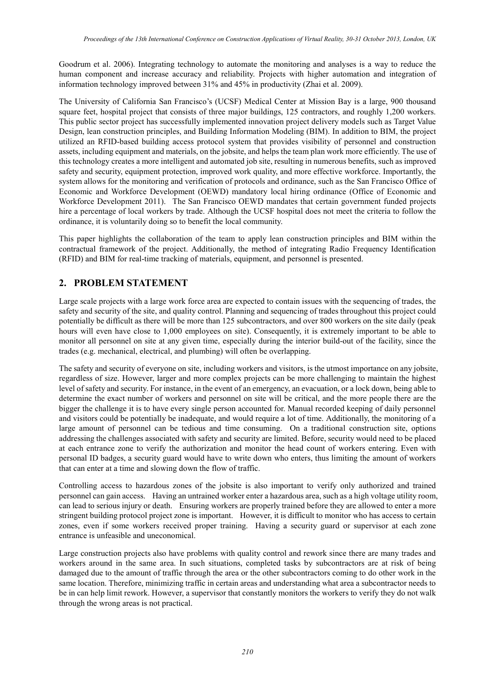Goodrum et al. 2006). Integrating technology to automate the monitoring and analyses is a way to reduce the human component and increase accuracy and reliability. Projects with higher automation and integration of information technology improved between 31% and 45% in productivity (Zhai et al. 2009).

The University of California San Francisco's (UCSF) Medical Center at Mission Bay is a large, 900 thousand square feet, hospital project that consists of three major buildings, 125 contractors, and roughly 1,200 workers. This public sector project has successfully implemented innovation project delivery models such as Target Value Design, lean construction principles, and Building Information Modeling (BIM). In addition to BIM, the project utilized an RFID-based building access protocol system that provides visibility of personnel and construction assets, including equipment and materials, on the jobsite, and helps the team plan work more efficiently. The use of this technology creates a more intelligent and automated job site, resulting in numerous benefits, such as improved safety and security, equipment protection, improved work quality, and more effective workforce. Importantly, the system allows for the monitoring and verification of protocols and ordinance, such as the San Francisco Office of Economic and Workforce Development (OEWD) mandatory local hiring ordinance (Office of Economic and Workforce Development 2011). The San Francisco OEWD mandates that certain government funded projects hire a percentage of local workers by trade. Although the UCSF hospital does not meet the criteria to follow the ordinance, it is voluntarily doing so to benefit the local community.

This paper highlights the collaboration of the team to apply lean construction principles and BIM within the contractual framework of the project. Additionally, the method of integrating Radio Frequency Identification (RFID) and BIM for real-time tracking of materials, equipment, and personnel is presented.

# **2. PROBLEM STATEMENT**

Large scale projects with a large work force area are expected to contain issues with the sequencing of trades, the safety and security of the site, and quality control. Planning and sequencing of trades throughout this project could potentially be difficult as there will be more than 125 subcontractors, and over 800 workers on the site daily (peak hours will even have close to 1,000 employees on site). Consequently, it is extremely important to be able to monitor all personnel on site at any given time, especially during the interior build-out of the facility, since the trades (e.g. mechanical, electrical, and plumbing) will often be overlapping.

The safety and security of everyone on site, including workers and visitors, is the utmost importance on any jobsite, regardless of size. However, larger and more complex projects can be more challenging to maintain the highest level of safety and security. For instance, in the event of an emergency, an evacuation, or a lock down, being able to determine the exact number of workers and personnel on site will be critical, and the more people there are the bigger the challenge it is to have every single person accounted for. Manual recorded keeping of daily personnel and visitors could be potentially be inadequate, and would require a lot of time. Additionally, the monitoring of a large amount of personnel can be tedious and time consuming. On a traditional construction site, options addressing the challenges associated with safety and security are limited. Before, security would need to be placed at each entrance zone to verify the authorization and monitor the head count of workers entering. Even with personal ID badges, a security guard would have to write down who enters, thus limiting the amount of workers that can enter at a time and slowing down the flow of traffic.

Controlling access to hazardous zones of the jobsite is also important to verify only authorized and trained personnel can gain access. Having an untrained worker enter a hazardous area, such as a high voltage utility room, can lead to serious injury or death. Ensuring workers are properly trained before they are allowed to enter a more stringent building protocol project zone is important. However, it is difficult to monitor who has access to certain zones, even if some workers received proper training. Having a security guard or supervisor at each zone entrance is unfeasible and uneconomical.

Large construction projects also have problems with quality control and rework since there are many trades and workers around in the same area. In such situations, completed tasks by subcontractors are at risk of being damaged due to the amount of traffic through the area or the other subcontractors coming to do other work in the same location. Therefore, minimizing traffic in certain areas and understanding what area a subcontractor needs to be in can help limit rework. However, a supervisor that constantly monitors the workers to verify they do not walk through the wrong areas is not practical.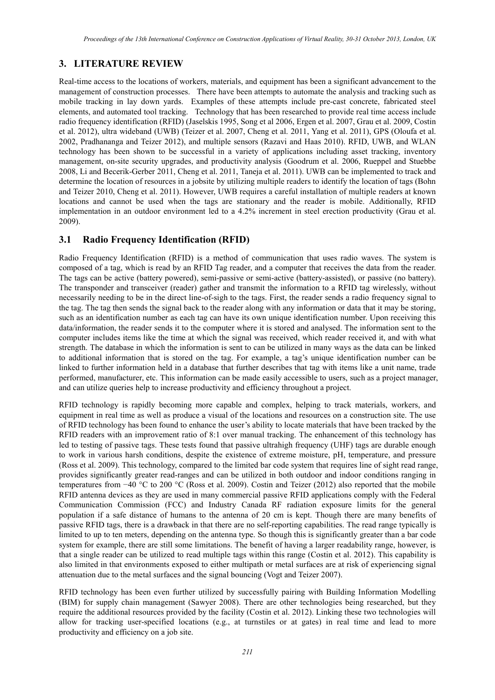#### **3. LITERATURE REVIEW**

Real-time access to the locations of workers, materials, and equipment has been a significant advancement to the management of construction processes. There have been attempts to automate the analysis and tracking such as mobile tracking in lay down yards. Examples of these attempts include pre-cast concrete, fabricated steel elements, and automated tool tracking. Technology that has been researched to provide real time access include radio frequency identification (RFID) (Jaselskis 1995, Song et al 2006, Ergen et al. 2007, Grau et al. 2009, Costin et al. 2012), ultra wideband (UWB) (Teizer et al. 2007, Cheng et al. 2011, Yang et al. 2011), GPS (Oloufa et al. 2002, Pradhananga and Teizer 2012), and multiple sensors (Razavi and Haas 2010). RFID, UWB, and WLAN technology has been shown to be successful in a variety of applications including asset tracking, inventory management, on-site security upgrades, and productivity analysis (Goodrum et al. 2006, Rueppel and Stuebbe 2008, Li and Becerik-Gerber 2011, Cheng et al. 2011, Taneja et al. 2011). UWB can be implemented to track and determine the location of resources in a jobsite by utilizing multiple readers to identify the location of tags (Bohn and Teizer 2010, Cheng et al. 2011). However, UWB requires a careful installation of multiple readers at known locations and cannot be used when the tags are stationary and the reader is mobile. Additionally, RFID implementation in an outdoor environment led to a 4.2% increment in steel erection productivity (Grau et al. 2009).

#### **3.1 Radio Frequency Identification (RFID)**

Radio Frequency Identification (RFID) is a method of communication that uses radio waves. The system is composed of a tag, which is read by an RFID Tag reader, and a computer that receives the data from the reader. The tags can be active (battery powered), semi-passive or semi-active (battery-assisted), or passive (no battery). The transponder and transceiver (reader) gather and transmit the information to a RFID tag wirelessly, without necessarily needing to be in the direct line-of-sigh to the tags. First, the reader sends a radio frequency signal to the tag. The tag then sends the signal back to the reader along with any information or data that it may be storing, such as an identification number as each tag can have its own unique identification number. Upon receiving this data/information, the reader sends it to the computer where it is stored and analysed. The information sent to the computer includes items like the time at which the signal was received, which reader received it, and with what strength. The database in which the information is sent to can be utilized in many ways as the data can be linked to additional information that is stored on the tag. For example, a tag's unique identification number can be linked to further information held in a database that further describes that tag with items like a unit name, trade performed, manufacturer, etc. This information can be made easily accessible to users, such as a project manager, and can utilize queries help to increase productivity and efficiency throughout a project.

RFID technology is rapidly becoming more capable and complex, helping to track materials, workers, and equipment in real time as well as produce a visual of the locations and resources on a construction site. The use of RFID technology has been found to enhance the user's ability to locate materials that have been tracked by the RFID readers with an improvement ratio of 8:1 over manual tracking. The enhancement of this technology has led to testing of passive tags. These tests found that passive ultrahigh frequency (UHF) tags are durable enough to work in various harsh conditions, despite the existence of extreme moisture, pH, temperature, and pressure (Ross et al. 2009). This technology, compared to the limited bar code system that requires line of sight read range, provides significantly greater read-ranges and can be utilized in both outdoor and indoor conditions ranging in temperatures from −40 °C to 200 °C (Ross et al. 2009). Costin and Teizer (2012) also reported that the mobile RFID antenna devices as they are used in many commercial passive RFID applications comply with the Federal Communication Commission (FCC) and Industry Canada RF radiation exposure limits for the general population if a safe distance of humans to the antenna of 20 cm is kept. Though there are many benefits of passive RFID tags, there is a drawback in that there are no self-reporting capabilities. The read range typically is limited to up to ten meters, depending on the antenna type. So though this is significantly greater than a bar code system for example, there are still some limitations. The benefit of having a larger readability range, however, is that a single reader can be utilized to read multiple tags within this range (Costin et al. 2012). This capability is also limited in that environments exposed to either multipath or metal surfaces are at risk of experiencing signal attenuation due to the metal surfaces and the signal bouncing (Vogt and Teizer 2007).

RFID technology has been even further utilized by successfully pairing with Building Information Modelling (BIM) for supply chain management (Sawyer 2008). There are other technologies being researched, but they require the additional resources provided by the facility (Costin et al. 2012). Linking these two technologies will allow for tracking user-specified locations (e.g., at turnstiles or at gates) in real time and lead to more productivity and efficiency on a job site.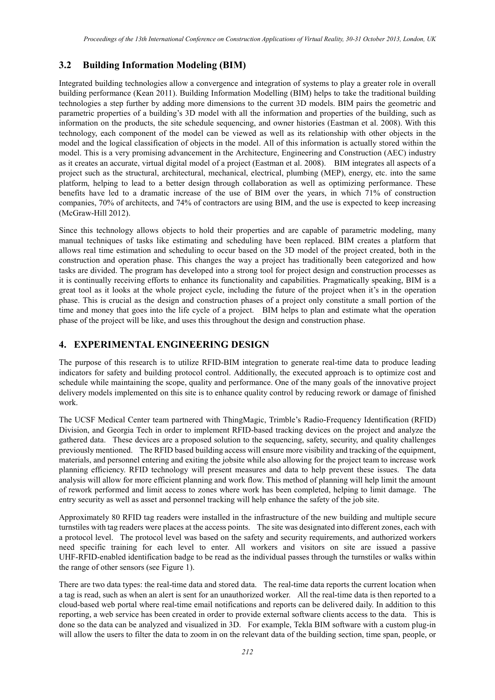#### **3.2 Building Information Modeling (BIM)**

Integrated building technologies allow a convergence and integration of systems to play a greater role in overall building performance (Kean 2011). Building Information Modelling (BIM) helps to take the traditional building technologies a step further by adding more dimensions to the current 3D models. BIM pairs the geometric and parametric properties of a building's 3D model with all the information and properties of the building, such as information on the products, the site schedule sequencing, and owner histories (Eastman et al. 2008). With this technology, each component of the model can be viewed as well as its relationship with other objects in the model and the logical classification of objects in the model. All of this information is actually stored within the model. This is a very promising advancement in the Architecture, Engineering and Construction (AEC) industry as it creates an accurate, virtual digital model of a project (Eastman et al. 2008). BIM integrates all aspects of a project such as the structural, architectural, mechanical, electrical, plumbing (MEP), energy, etc. into the same platform, helping to lead to a better design through collaboration as well as optimizing performance. These benefits have led to a dramatic increase of the use of BIM over the years, in which 71% of construction companies, 70% of architects, and 74% of contractors are using BIM, and the use is expected to keep increasing (McGraw-Hill 2012).

Since this technology allows objects to hold their properties and are capable of parametric modeling, many manual techniques of tasks like estimating and scheduling have been replaced. BIM creates a platform that allows real time estimation and scheduling to occur based on the 3D model of the project created, both in the construction and operation phase. This changes the way a project has traditionally been categorized and how tasks are divided. The program has developed into a strong tool for project design and construction processes as it is continually receiving efforts to enhance its functionality and capabilities. Pragmatically speaking, BIM is a great tool as it looks at the whole project cycle, including the future of the project when it's in the operation phase. This is crucial as the design and construction phases of a project only constitute a small portion of the time and money that goes into the life cycle of a project. BIM helps to plan and estimate what the operation phase of the project will be like, and uses this throughout the design and construction phase.

### **4. EXPERIMENTAL ENGINEERING DESIGN**

The purpose of this research is to utilize RFID-BIM integration to generate real-time data to produce leading indicators for safety and building protocol control. Additionally, the executed approach is to optimize cost and schedule while maintaining the scope, quality and performance. One of the many goals of the innovative project delivery models implemented on this site is to enhance quality control by reducing rework or damage of finished work.

The UCSF Medical Center team partnered with ThingMagic, Trimble's Radio-Frequency Identification (RFID) Division, and Georgia Tech in order to implement RFID-based tracking devices on the project and analyze the gathered data. These devices are a proposed solution to the sequencing, safety, security, and quality challenges previously mentioned. The RFID based building access will ensure more visibility and tracking of the equipment, materials, and personnel entering and exiting the jobsite while also allowing for the project team to increase work planning efficiency. RFID technology will present measures and data to help prevent these issues. The data analysis will allow for more efficient planning and work flow. This method of planning will help limit the amount of rework performed and limit access to zones where work has been completed, helping to limit damage. The entry security as well as asset and personnel tracking will help enhance the safety of the job site.

Approximately 80 RFID tag readers were installed in the infrastructure of the new building and multiple secure turnstiles with tag readers were places at the access points. The site was designated into different zones, each with a protocol level. The protocol level was based on the safety and security requirements, and authorized workers need specific training for each level to enter. All workers and visitors on site are issued a passive UHF-RFID-enabled identification badge to be read as the individual passes through the turnstiles or walks within the range of other sensors (see Figure 1).

There are two data types: the real-time data and stored data. The real-time data reports the current location when a tag is read, such as when an alert is sent for an unauthorized worker. All the real-time data is then reported to a cloud-based web portal where real-time email notifications and reports can be delivered daily. In addition to this reporting, a web service has been created in order to provide external software clients access to the data. This is done so the data can be analyzed and visualized in 3D. For example, Tekla BIM software with a custom plug-in will allow the users to filter the data to zoom in on the relevant data of the building section, time span, people, or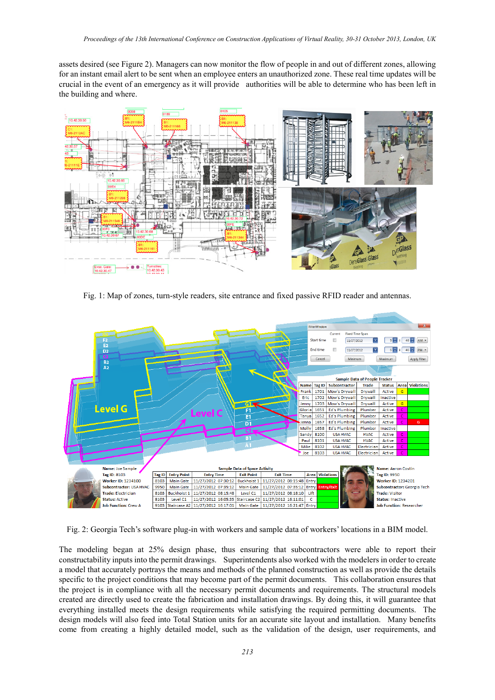assets desired (see Figure 2). Managers can now monitor the flow of people in and out of different zones, allowing for an instant email alert to be sent when an employee enters an unauthorized zone. These real time updates will be crucial in the event of an emergency as it will provide authorities will be able to determine who has been left in the building and where.



Fig. 1: Map of zones, turn-style readers, site entrance and fixed passive RFID reader and antennas.



Fig. 2: Georgia Tech's software plug-in with workers and sample data of workers' locations in a BIM model.

The modeling began at 25% design phase, thus ensuring that subcontractors were able to report their constructability inputs into the permit drawings. Superintendents also worked with the modelers in order to create a model that accurately portrays the means and methods of the planned construction as well as provide the details specific to the project conditions that may become part of the permit documents. This collaboration ensures that the project is in compliance with all the necessary permit documents and requirements. The structural models created are directly used to create the fabrication and installation drawings. By doing this, it will guarantee that everything installed meets the design requirements while satisfying the required permitting documents. The design models will also feed into Total Station units for an accurate site layout and installation. Many benefits come from creating a highly detailed model, such as the validation of the design, user requirements, and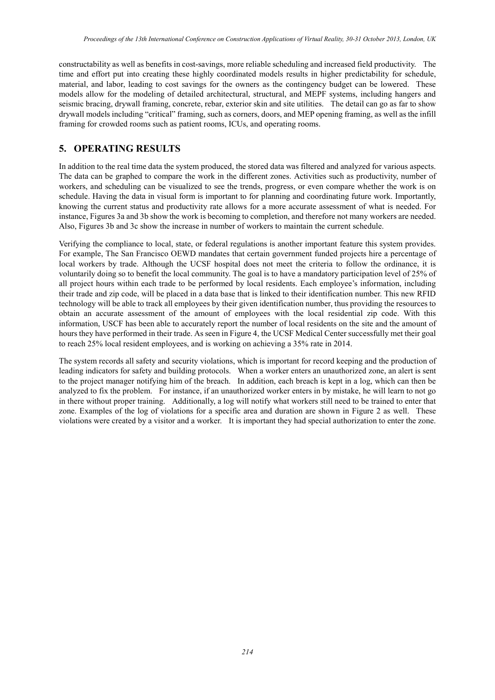constructability as well as benefits in cost-savings, more reliable scheduling and increased field productivity. The time and effort put into creating these highly coordinated models results in higher predictability for schedule, material, and labor, leading to cost savings for the owners as the contingency budget can be lowered. These models allow for the modeling of detailed architectural, structural, and MEPF systems, including hangers and seismic bracing, drywall framing, concrete, rebar, exterior skin and site utilities. The detail can go as far to show drywall models including "critical" framing, such as corners, doors, and MEP opening framing, as well as the infill framing for crowded rooms such as patient rooms, ICUs, and operating rooms.

### **5. OPERATING RESULTS**

In addition to the real time data the system produced, the stored data was filtered and analyzed for various aspects. The data can be graphed to compare the work in the different zones. Activities such as productivity, number of workers, and scheduling can be visualized to see the trends, progress, or even compare whether the work is on schedule. Having the data in visual form is important to for planning and coordinating future work. Importantly, knowing the current status and productivity rate allows for a more accurate assessment of what is needed. For instance, Figures 3a and 3b show the work is becoming to completion, and therefore not many workers are needed. Also, Figures 3b and 3c show the increase in number of workers to maintain the current schedule.

Verifying the compliance to local, state, or federal regulations is another important feature this system provides. For example, The San Francisco OEWD mandates that certain government funded projects hire a percentage of local workers by trade. Although the UCSF hospital does not meet the criteria to follow the ordinance, it is voluntarily doing so to benefit the local community. The goal is to have a mandatory participation level of 25% of all project hours within each trade to be performed by local residents. Each employee's information, including their trade and zip code, will be placed in a data base that is linked to their identification number. This new RFID technology will be able to track all employees by their given identification number, thus providing the resources to obtain an accurate assessment of the amount of employees with the local residential zip code. With this information, USCF has been able to accurately report the number of local residents on the site and the amount of hours they have performed in their trade. As seen in Figure 4, the UCSF Medical Center successfully met their goal to reach 25% local resident employees, and is working on achieving a 35% rate in 2014.

The system records all safety and security violations, which is important for record keeping and the production of leading indicators for safety and building protocols. When a worker enters an unauthorized zone, an alert is sent to the project manager notifying him of the breach. In addition, each breach is kept in a log, which can then be analyzed to fix the problem. For instance, if an unauthorized worker enters in by mistake, he will learn to not go in there without proper training. Additionally, a log will notify what workers still need to be trained to enter that zone. Examples of the log of violations for a specific area and duration are shown in Figure 2 as well. These violations were created by a visitor and a worker. It is important they had special authorization to enter the zone.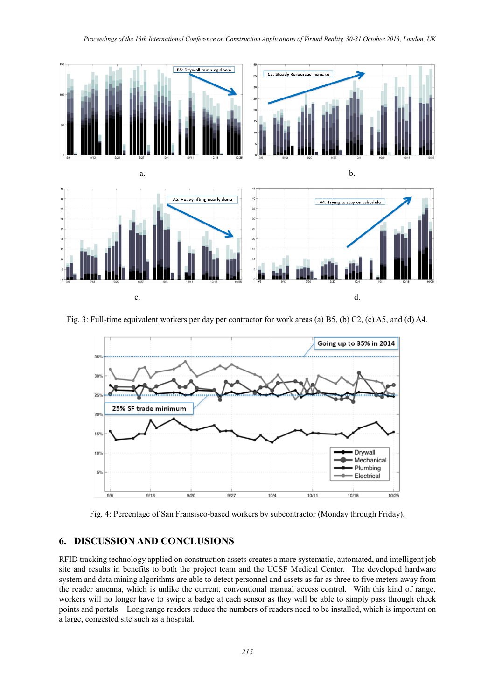

Fig. 3: Full-time equivalent workers per day per contractor for work areas (a) B5, (b) C2, (c) A5, and (d) A4.



Fig. 4: Percentage of San Fransisco-based workers by subcontractor (Monday through Friday).

#### **6. DISCUSSION AND CONCLUSIONS**

RFID tracking technology applied on construction assets creates a more systematic, automated, and intelligent job site and results in benefits to both the project team and the UCSF Medical Center. The developed hardware system and data mining algorithms are able to detect personnel and assets as far as three to five meters away from the reader antenna, which is unlike the current, conventional manual access control. With this kind of range, workers will no longer have to swipe a badge at each sensor as they will be able to simply pass through check points and portals. Long range readers reduce the numbers of readers need to be installed, which is important on a large, congested site such as a hospital.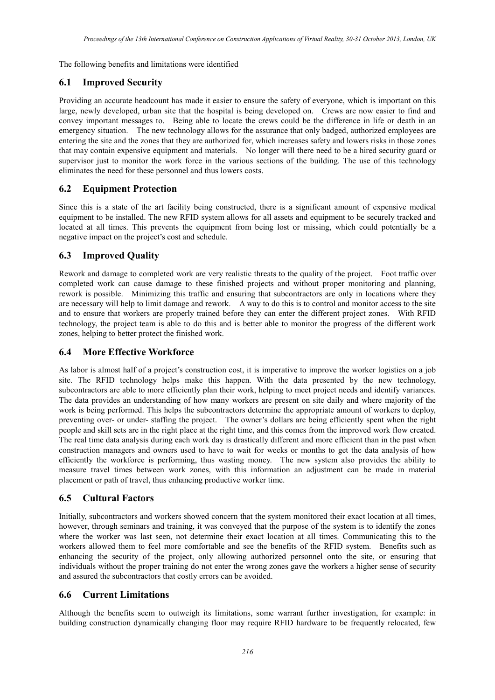The following benefits and limitations were identified

### **6.1 Improved Security**

Providing an accurate headcount has made it easier to ensure the safety of everyone, which is important on this large, newly developed, urban site that the hospital is being developed on. Crews are now easier to find and convey important messages to. Being able to locate the crews could be the difference in life or death in an emergency situation. The new technology allows for the assurance that only badged, authorized employees are entering the site and the zones that they are authorized for, which increases safety and lowers risks in those zones that may contain expensive equipment and materials. No longer will there need to be a hired security guard or supervisor just to monitor the work force in the various sections of the building. The use of this technology eliminates the need for these personnel and thus lowers costs.

# **6.2 Equipment Protection**

Since this is a state of the art facility being constructed, there is a significant amount of expensive medical equipment to be installed. The new RFID system allows for all assets and equipment to be securely tracked and located at all times. This prevents the equipment from being lost or missing, which could potentially be a negative impact on the project's cost and schedule.

# **6.3 Improved Quality**

Rework and damage to completed work are very realistic threats to the quality of the project. Foot traffic over completed work can cause damage to these finished projects and without proper monitoring and planning, rework is possible. Minimizing this traffic and ensuring that subcontractors are only in locations where they are necessary will help to limit damage and rework. A way to do this is to control and monitor access to the site and to ensure that workers are properly trained before they can enter the different project zones. With RFID technology, the project team is able to do this and is better able to monitor the progress of the different work zones, helping to better protect the finished work.

#### **6.4 More Effective Workforce**

As labor is almost half of a project's construction cost, it is imperative to improve the worker logistics on a job site. The RFID technology helps make this happen. With the data presented by the new technology, subcontractors are able to more efficiently plan their work, helping to meet project needs and identify variances. The data provides an understanding of how many workers are present on site daily and where majority of the work is being performed. This helps the subcontractors determine the appropriate amount of workers to deploy, preventing over- or under- staffing the project. The owner's dollars are being efficiently spent when the right people and skill sets are in the right place at the right time, and this comes from the improved work flow created. The real time data analysis during each work day is drastically different and more efficient than in the past when construction managers and owners used to have to wait for weeks or months to get the data analysis of how efficiently the workforce is performing, thus wasting money. The new system also provides the ability to measure travel times between work zones, with this information an adjustment can be made in material placement or path of travel, thus enhancing productive worker time.

# **6.5 Cultural Factors**

Initially, subcontractors and workers showed concern that the system monitored their exact location at all times, however, through seminars and training, it was conveyed that the purpose of the system is to identify the zones where the worker was last seen, not determine their exact location at all times. Communicating this to the workers allowed them to feel more comfortable and see the benefits of the RFID system. Benefits such as enhancing the security of the project, only allowing authorized personnel onto the site, or ensuring that individuals without the proper training do not enter the wrong zones gave the workers a higher sense of security and assured the subcontractors that costly errors can be avoided.

#### **6.6 Current Limitations**

Although the benefits seem to outweigh its limitations, some warrant further investigation, for example: in building construction dynamically changing floor may require RFID hardware to be frequently relocated, few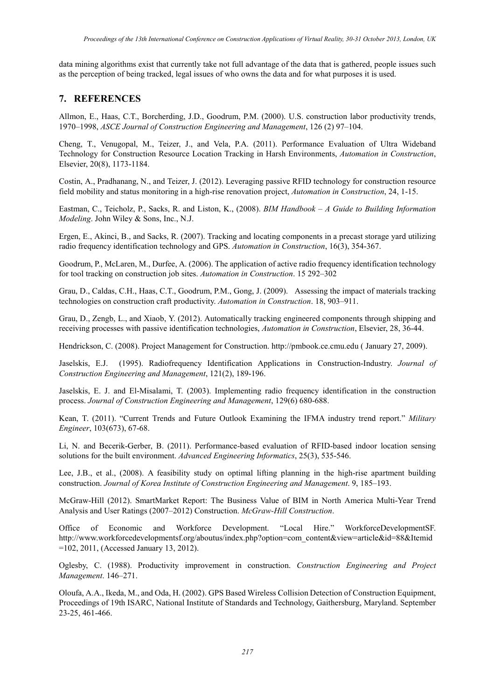data mining algorithms exist that currently take not full advantage of the data that is gathered, people issues such as the perception of being tracked, legal issues of who owns the data and for what purposes it is used.

#### **7. REFERENCES**

Allmon, E., Haas, C.T., Borcherding, J.D., Goodrum, P.M. (2000). U.S. construction labor productivity trends, 1970–1998, *ASCE Journal of Construction Engineering and Management*, 126 (2) 97–104.

Cheng, T., Venugopal, M., Teizer, J., and Vela, P.A. (2011). Performance Evaluation of Ultra Wideband Technology for Construction Resource Location Tracking in Harsh Environments, *Automation in Construction*, Elsevier, 20(8), 1173-1184.

Costin, A., Pradhanang, N., and Teizer, J. (2012). Leveraging passive RFID technology for construction resource field mobility and status monitoring in a high-rise renovation project, *Automation in Construction*, 24, 1-15.

Eastman, C., Teicholz, P., Sacks, R. and Liston, K., (2008). *BIM Handbook – A Guide to Building Information Modeling*. John Wiley & Sons, Inc., N.J.

Ergen, E., Akinci, B., and Sacks, R. (2007). Tracking and locating components in a precast storage yard utilizing radio frequency identification technology and GPS. *Automation in Construction*, 16(3), 354-367.

Goodrum, P., McLaren, M., Durfee, A. (2006). The application of active radio frequency identification technology for tool tracking on construction job sites. *Automation in Construction*. 15 292–302

Grau, D., Caldas, C.H., Haas, C.T., Goodrum, P.M., Gong, J. (2009). Assessing the impact of materials tracking technologies on construction craft productivity. *Automation in Construction*. 18, 903–911.

Grau, D., Zengb, L., and Xiaob, Y. (2012). Automatically tracking engineered components through shipping and receiving processes with passive identification technologies, *Automation in Construction*, Elsevier, 28, 36-44.

Hendrickson, C. (2008). Project Management for Construction. http://pmbook.ce.cmu.edu ( January 27, 2009).

Jaselskis, E.J. (1995). Radiofrequency Identification Applications in Construction-Industry. *Journal of Construction Engineering and Management*, 121(2), 189-196.

Jaselskis, E. J. and El-Misalami, T. (2003). Implementing radio frequency identification in the construction process. *Journal of Construction Engineering and Management*, 129(6) 680-688.

Kean, T. (2011). "Current Trends and Future Outlook Examining the IFMA industry trend report." *Military Engineer*, 103(673), 67-68.

Li, N. and Becerik-Gerber, B. (2011). Performance-based evaluation of RFID-based indoor location sensing solutions for the built environment. *Advanced Engineering Informatics*, 25(3), 535-546.

Lee, J.B., et al., (2008). A feasibility study on optimal lifting planning in the high-rise apartment building construction. *Journal of Korea Institute of Construction Engineering and Management*. 9, 185–193.

McGraw-Hill (2012). SmartMarket Report: The Business Value of BIM in North America Multi-Year Trend Analysis and User Ratings (2007–2012) Construction. *McGraw-Hill Construction*.

Office of Economic and Workforce Development. "Local Hire." WorkforceDevelopmentSF. http://www.workforcedevelopmentsf.org/aboutus/index.php?option=com\_content&view=article&id=88&Itemid =102, 2011, (Accessed January 13, 2012).

Oglesby, C. (1988). Productivity improvement in construction. *Construction Engineering and Project Management*. 146–271.

Oloufa, A.A., Ikeda, M., and Oda, H. (2002). GPS Based Wireless Collision Detection of Construction Equipment, Proceedings of 19th ISARC, National Institute of Standards and Technology, Gaithersburg, Maryland. September 23-25, 461-466.